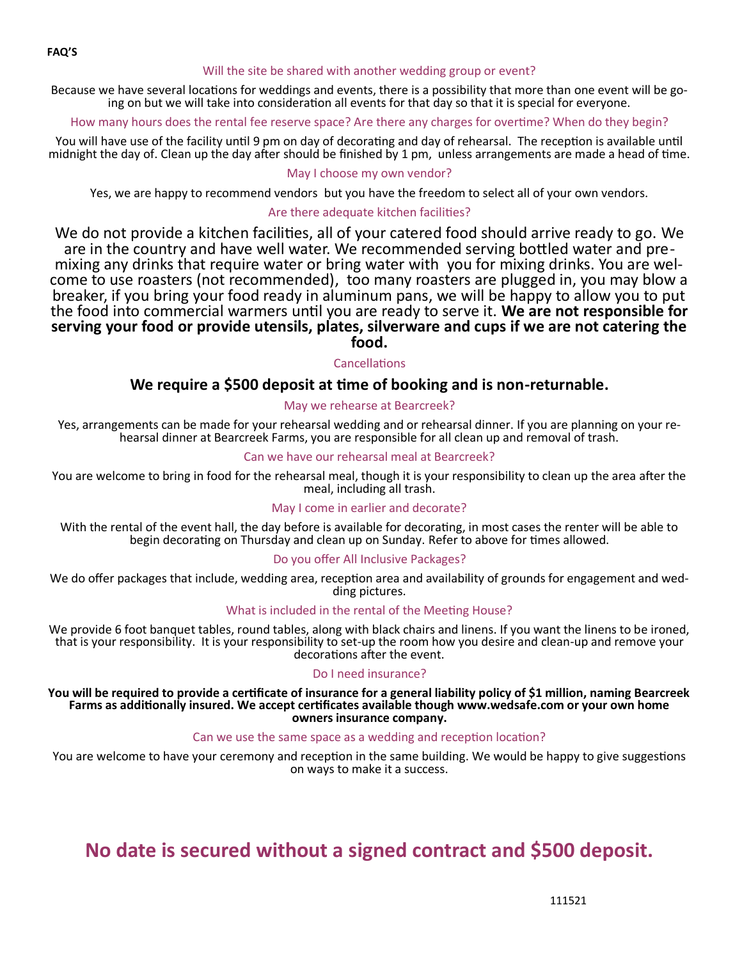#### Will the site be shared with another wedding group or event?

Because we have several locations for weddings and events, there is a possibility that more than one event will be going on but we will take into consideration all events for that day so that it is special for everyone.

How many hours does the rental fee reserve space? Are there any charges for overtime? When do they begin?

You will have use of the facility until 9 pm on day of decorating and day of rehearsal. The reception is available until midnight the day of. Clean up the day after should be finished by 1 pm, unless arrangements are made a head of time.

## May I choose my own vendor?

Yes, we are happy to recommend vendors but you have the freedom to select all of your own vendors.

## Are there adequate kitchen facilities?

We do not provide a kitchen facilities, all of your catered food should arrive ready to go. We are in the country and have well water. We recommended serving bottled water and premixing any drinks that require water or bring water with you for mixing drinks. You are welcome to use roasters (not recommended), too many roasters are plugged in, you may blow a breaker, if you bring your food ready in aluminum pans, we will be happy to allow you to put the food into commercial warmers until you are ready to serve it. **We are not responsible for serving your food or provide utensils, plates, silverware and cups if we are not catering the food.**

## Cancellations

## **We require a \$500 deposit at time of booking and is non-returnable.**

## May we rehearse at Bearcreek?

Yes, arrangements can be made for your rehearsal wedding and or rehearsal dinner. If you are planning on your rehearsal dinner at Bearcreek Farms, you are responsible for all clean up and removal of trash.

#### Can we have our rehearsal meal at Bearcreek?

You are welcome to bring in food for the rehearsal meal, though it is your responsibility to clean up the area after the meal, including all trash.

#### May I come in earlier and decorate?

With the rental of the event hall, the day before is available for decorating, in most cases the renter will be able to begin decorating on Thursday and clean up on Sunday. Refer to above for times allowed.

## Do you offer All Inclusive Packages?

We do offer packages that include, wedding area, reception area and availability of grounds for engagement and wedding pictures.

## What is included in the rental of the Meeting House?

We provide 6 foot banquet tables, round tables, along with black chairs and linens. If you want the linens to be ironed, that is your responsibility. It is your responsibility to set-up the room how you desire and clean-up and remove your decorations after the event.

## Do I need insurance?

**You will be required to provide a certificate of insurance for a general liability policy of \$1 million, naming Bearcreek Farms as additionally insured. We accept certificates available though www.wedsafe.com or your own home owners insurance company.**

## Can we use the same space as a wedding and reception location?

You are welcome to have your ceremony and reception in the same building. We would be happy to give suggestions on ways to make it a success.

# **No date is secured without a signed contract and \$500 deposit.**